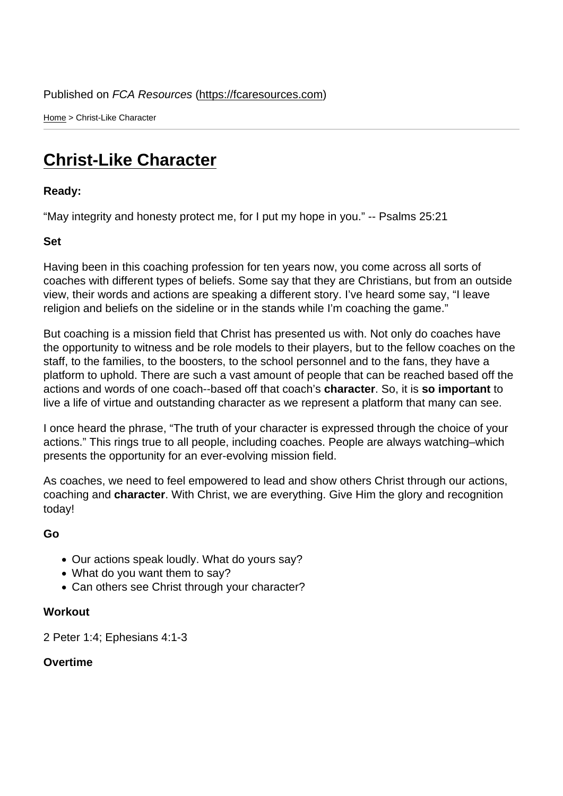Home > Christ-Like Character

## [Chr](https://fcaresources.com/)ist-Like Character

Ready:

["May integrity and honesty protect](https://fcaresources.com/devotional/christ-character) me, for I put my hope in you." -- Psalms 25:21

Set

Having been in this coaching profession for ten years now, you come across all sorts of coaches with different types of beliefs. Some say that they are Christians, but from an outside view, their words and actions are speaking a different story. I've heard some say, "I leave religion and beliefs on the sideline or in the stands while I'm coaching the game."

But coaching is a mission field that Christ has presented us with. Not only do coaches have the opportunity to witness and be role models to their players, but to the fellow coaches on the staff, to the families, to the boosters, to the school personnel and to the fans, they have a platform to uphold. There are such a vast amount of people that can be reached based off the actions and words of one coach--based off that coach's character . So, it is so important to live a life of virtue and outstanding character as we represent a platform that many can see.

I once heard the phrase, "The truth of your character is expressed through the choice of your actions." This rings true to all people, including coaches. People are always watching–which presents the opportunity for an ever-evolving mission field.

As coaches, we need to feel empowered to lead and show others Christ through our actions, coaching and character . With Christ, we are everything. Give Him the glory and recognition today!

Go

- Our actions speak loudly. What do yours say?
- What do you want them to say?
- Can others see Christ through your character?

**Workout** 

2 Peter 1:4; Ephesians 4:1-3

**Overtime**